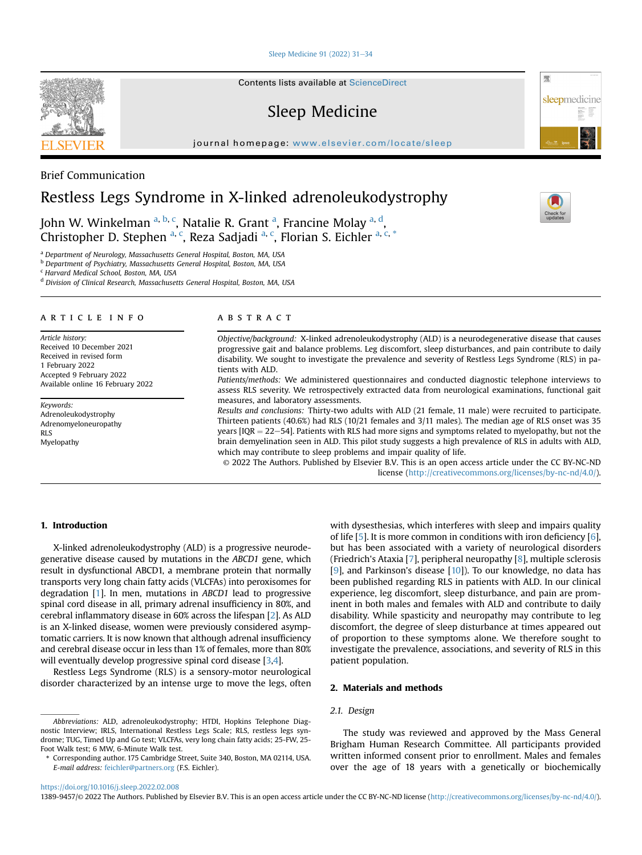#### [Sleep Medicine 91 \(2022\) 31](https://doi.org/10.1016/j.sleep.2022.02.008)-[34](https://doi.org/10.1016/j.sleep.2022.02.008)

Contents lists available at ScienceDirect

# Sleep Medicine

journal homepage: <www.elsevier.com/locate/sleep>



## Brief Communication

# Restless Legs Syndrome in X-linked adrenoleukodystrophy

John W. Winkelman <sup>[a,](#page-0-0) [b](#page-0-1), [c](#page-0-2)</sup>, N[a](#page-0-0)talie R. Grant <sup>a</sup>, Francine Molay <sup>a, [d](#page-0-3)</sup>, Christopher D. Stephen <sup>[a](#page-0-0), [c](#page-0-2)</sup>, Reza Sadjadi <sup>[a,](#page-0-0) c</sup>, Florian S. Eichler <sup>a, c, [\\*](#page-0-4)</sup>

<span id="page-0-0"></span><sup>a</sup> Department of Neurology, Massachusetts General Hospital, Boston, MA, USA

<span id="page-0-1"></span>**b** Department of Psychiatry, Massachusetts General Hospital, Boston, MA, USA

<span id="page-0-2"></span><sup>c</sup> Harvard Medical School, Boston, MA, USA

<span id="page-0-3"></span><sup>d</sup> Division of Clinical Research, Massachusetts General Hospital, Boston, MA, USA

#### article info

Article history: Received 10 December 2021 Received in revised form 1 February 2022 Accepted 9 February 2022 Available online 16 February 2022

Keywords: Adrenoleukodystrophy Adrenomyeloneuropathy RLS Myelopathy

## **ABSTRACT**

Objective/background: X-linked adrenoleukodystrophy (ALD) is a neurodegenerative disease that causes progressive gait and balance problems. Leg discomfort, sleep disturbances, and pain contribute to daily disability. We sought to investigate the prevalence and severity of Restless Legs Syndrome (RLS) in patients with ALD.

Patients/methods: We administered questionnaires and conducted diagnostic telephone interviews to assess RLS severity. We retrospectively extracted data from neurological examinations, functional gait measures, and laboratory assessments.

Results and conclusions: Thirty-two adults with ALD (21 female, 11 male) were recruited to participate. Thirteen patients (40.6%) had RLS (10/21 females and 3/11 males). The median age of RLS onset was 35 years [IQR  $= 22-54$ ]. Patients with RLS had more signs and symptoms related to myelopathy, but not the brain demyelination seen in ALD. This pilot study suggests a high prevalence of RLS in adults with ALD, which may contribute to sleep problems and impair quality of life.

© 2022 The Authors. Published by Elsevier B.V. This is an open access article under the CC BY-NC-ND license [\(http://creativecommons.org/licenses/by-nc-nd/4.0/](http://creativecommons.org/licenses/by-nc-nd/4.0/)).

## 1. Introduction

X-linked adrenoleukodystrophy (ALD) is a progressive neurodegenerative disease caused by mutations in the ABCD1 gene, which result in dysfunctional ABCD1, a membrane protein that normally transports very long chain fatty acids (VLCFAs) into peroxisomes for degradation [[1](#page-3-0)]. In men, mutations in ABCD1 lead to progressive spinal cord disease in all, primary adrenal insufficiency in 80%, and cerebral inflammatory disease in 60% across the lifespan [[2](#page-3-1)]. As ALD is an X-linked disease, women were previously considered asymptomatic carriers. It is now known that although adrenal insufficiency and cerebral disease occur in less than 1% of females, more than 80% will eventually develop progressive spinal cord disease [\[3](#page-3-2)[,4](#page-3-3)].

Restless Legs Syndrome (RLS) is a sensory-motor neurological disorder characterized by an intense urge to move the legs, often with dysesthesias, which interferes with sleep and impairs quality of life [[5](#page-3-4)]. It is more common in conditions with iron deficiency [\[6\]](#page-3-5), but has been associated with a variety of neurological disorders (Friedrich's Ataxia [\[7](#page-3-6)], peripheral neuropathy [\[8](#page-3-7)], multiple sclerosis [[9](#page-3-8)], and Parkinson's disease [[10\]](#page-3-9)). To our knowledge, no data has been published regarding RLS in patients with ALD. In our clinical experience, leg discomfort, sleep disturbance, and pain are prominent in both males and females with ALD and contribute to daily disability. While spasticity and neuropathy may contribute to leg discomfort, the degree of sleep disturbance at times appeared out of proportion to these symptoms alone. We therefore sought to investigate the prevalence, associations, and severity of RLS in this patient population.

## 2. Materials and methods

## 2.1. Design

Abbreviations: ALD, adrenoleukodystrophy; HTDI, Hopkins Telephone Diagnostic Interview; IRLS, International Restless Legs Scale; RLS, restless legs syndrome; TUG, Timed Up and Go test; VLCFAs, very long chain fatty acids; 25-FW, 25- Foot Walk test; 6 MW, 6-Minute Walk test.

<span id="page-0-4"></span>\* Corresponding author. 175 Cambridge Street, Suite 340, Boston, MA 02114, USA. E-mail address: [feichler@partners.org](mailto:feichler@partners.org) (F.S. Eichler).

The study was reviewed and approved by the Mass General Brigham Human Research Committee. All participants provided written informed consent prior to enrollment. Males and females over the age of 18 years with a genetically or biochemically

<https://doi.org/10.1016/j.sleep.2022.02.008>

1389-9457/© 2022 The Authors. Published by Elsevier B.V. This is an open access article under the CC BY-NC-ND license ([http://creativecommons.org/licenses/by-nc-nd/4.0/\)](http://creativecommons.org/licenses/by-nc-nd/4.0/).

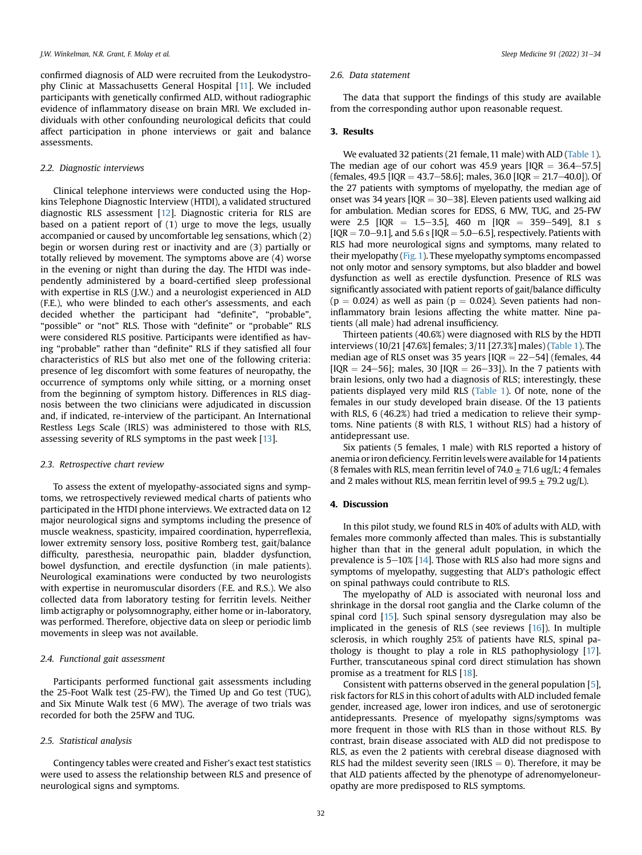confirmed diagnosis of ALD were recruited from the Leukodystrophy Clinic at Massachusetts General Hospital [[11\]](#page-3-10). We included participants with genetically confirmed ALD, without radiographic evidence of inflammatory disease on brain MRI. We excluded individuals with other confounding neurological deficits that could affect participation in phone interviews or gait and balance assessments.

#### 2.2. Diagnostic interviews

Clinical telephone interviews were conducted using the Hopkins Telephone Diagnostic Interview (HTDI), a validated structured diagnostic RLS assessment [\[12\]](#page-3-11). Diagnostic criteria for RLS are based on a patient report of (1) urge to move the legs, usually accompanied or caused by uncomfortable leg sensations, which (2) begin or worsen during rest or inactivity and are (3) partially or totally relieved by movement. The symptoms above are (4) worse in the evening or night than during the day. The HTDI was independently administered by a board-certified sleep professional with expertise in RLS (J.W.) and a neurologist experienced in ALD (F.E.), who were blinded to each other's assessments, and each decided whether the participant had "definite", "probable", "possible" or "not" RLS. Those with "definite" or "probable" RLS were considered RLS positive. Participants were identified as having "probable" rather than "definite" RLS if they satisfied all four characteristics of RLS but also met one of the following criteria: presence of leg discomfort with some features of neuropathy, the occurrence of symptoms only while sitting, or a morning onset from the beginning of symptom history. Differences in RLS diagnosis between the two clinicians were adjudicated in discussion and, if indicated, re-interview of the participant. An International Restless Legs Scale (IRLS) was administered to those with RLS, assessing severity of RLS symptoms in the past week [[13\]](#page-3-12).

#### 2.3. Retrospective chart review

To assess the extent of myelopathy-associated signs and symptoms, we retrospectively reviewed medical charts of patients who participated in the HTDI phone interviews. We extracted data on 12 major neurological signs and symptoms including the presence of muscle weakness, spasticity, impaired coordination, hyperreflexia, lower extremity sensory loss, positive Romberg test, gait/balance difficulty, paresthesia, neuropathic pain, bladder dysfunction, bowel dysfunction, and erectile dysfunction (in male patients). Neurological examinations were conducted by two neurologists with expertise in neuromuscular disorders (F.E. and R.S.). We also collected data from laboratory testing for ferritin levels. Neither limb actigraphy or polysomnography, either home or in-laboratory, was performed. Therefore, objective data on sleep or periodic limb movements in sleep was not available.

## 2.4. Functional gait assessment

Participants performed functional gait assessments including the 25-Foot Walk test (25-FW), the Timed Up and Go test (TUG), and Six Minute Walk test (6 MW). The average of two trials was recorded for both the 25FW and TUG.

#### 2.5. Statistical analysis

Contingency tables were created and Fisher's exact test statistics were used to assess the relationship between RLS and presence of neurological signs and symptoms.

#### 2.6. Data statement

The data that support the findings of this study are available from the corresponding author upon reasonable request.

## 3. Results

We evaluated 32 patients (21 female, 11 male) with ALD [\(Table 1\)](#page-2-0). The median age of our cohort was 45.9 years  $[IOR = 36.4-57.5]$ (females, 49.5 [IQR = 43.7-58.6]; males, 36.0 [IQR = 21.7-40.0]). Of the 27 patients with symptoms of myelopathy, the median age of onset was 34 years  $[IQR = 30-38]$ . Eleven patients used walking aid for ambulation. Median scores for EDSS, 6 MW, TUG, and 25-FW were 2.5  $[IQR = 1.5-3.5]$ , 460 m  $[IQR = 359-549]$ , 8.1 s  $[IQR = 7.0-9.1]$ , and 5.6 s  $[IQR = 5.0-6.5]$ , respectively. Patients with RLS had more neurological signs and symptoms, many related to their myelopathy [\(Fig. 1](#page-2-1)). These myelopathy symptoms encompassed not only motor and sensory symptoms, but also bladder and bowel dysfunction as well as erectile dysfunction. Presence of RLS was significantly associated with patient reports of gait/balance difficulty  $(p = 0.024)$  as well as pain  $(p = 0.024)$ . Seven patients had noninflammatory brain lesions affecting the white matter. Nine patients (all male) had adrenal insufficiency.

Thirteen patients (40.6%) were diagnosed with RLS by the HDTI interviews (10/21 [47.6%] females; 3/11 [27.3%] males) ([Table 1](#page-2-0)). The median age of RLS onset was 35 years  $[IQR = 22-54]$  (females, 44  $[IQR = 24-56]$ ; males, 30  $[IQR = 26-33]$ ). In the 7 patients with brain lesions, only two had a diagnosis of RLS; interestingly, these patients displayed very mild RLS [\(Table 1](#page-2-0)). Of note, none of the females in our study developed brain disease. Of the 13 patients with RLS, 6 (46.2%) had tried a medication to relieve their symptoms. Nine patients (8 with RLS, 1 without RLS) had a history of antidepressant use.

Six patients (5 females, 1 male) with RLS reported a history of anemia or iron deficiency. Ferritinlevels were available for 14 patients (8 females with RLS, mean ferritin level of  $74.0 \pm 71.6$  ug/L; 4 females and 2 males without RLS, mean ferritin level of  $99.5 \pm 79.2$  ug/L).

#### 4. Discussion

In this pilot study, we found RLS in 40% of adults with ALD, with females more commonly affected than males. This is substantially higher than that in the general adult population, in which the prevalence is  $5-10\%$  [[14](#page-3-13)]. Those with RLS also had more signs and symptoms of myelopathy, suggesting that ALD's pathologic effect on spinal pathways could contribute to RLS.

The myelopathy of ALD is associated with neuronal loss and shrinkage in the dorsal root ganglia and the Clarke column of the spinal cord [\[15](#page-3-14)]. Such spinal sensory dysregulation may also be implicated in the genesis of RLS (see reviews [[16\]](#page-3-15)). In multiple sclerosis, in which roughly 25% of patients have RLS, spinal pathology is thought to play a role in RLS pathophysiology [\[17\]](#page-3-16). Further, transcutaneous spinal cord direct stimulation has shown promise as a treatment for RLS [\[18](#page-3-17)].

Consistent with patterns observed in the general population [\[5\]](#page-3-4), risk factors for RLS in this cohort of adults with ALD included female gender, increased age, lower iron indices, and use of serotonergic antidepressants. Presence of myelopathy signs/symptoms was more frequent in those with RLS than in those without RLS. By contrast, brain disease associated with ALD did not predispose to RLS, as even the 2 patients with cerebral disease diagnosed with RLS had the mildest severity seen (IRLS  $= 0$ ). Therefore, it may be that ALD patients affected by the phenotype of adrenomyeloneuropathy are more predisposed to RLS symptoms.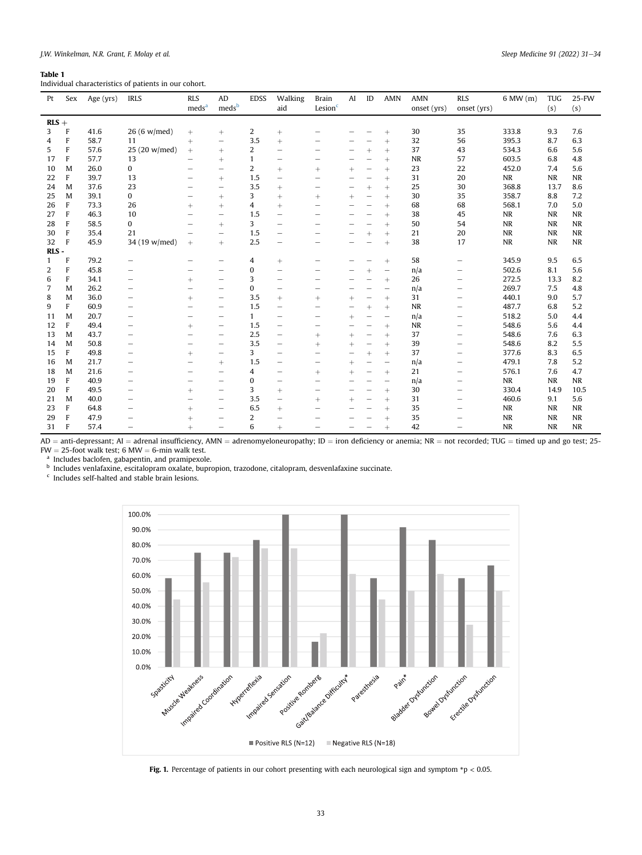## <span id="page-2-0"></span>Table 1

Individual characteristics of patients in our cohort.

| Pt      | Sex          | Age (yrs) | <b>IRLS</b>   | <b>RLS</b><br>meds <sup>a</sup> | AD<br>meds <sup>b</sup>  | <b>EDSS</b>  | Walking<br>aid                   | <b>Brain</b><br>Lesion <sup>c</sup> | AI     | ID                       | <b>AMN</b>               | <b>AMN</b><br>onset (yrs) | <b>RLS</b><br>onset (yrs) | 6 MW (m)  | <b>TUG</b><br>(s) | $25-FW$<br>(s) |
|---------|--------------|-----------|---------------|---------------------------------|--------------------------|--------------|----------------------------------|-------------------------------------|--------|--------------------------|--------------------------|---------------------------|---------------------------|-----------|-------------------|----------------|
| $RLS +$ |              |           |               |                                 |                          |              |                                  |                                     |        |                          |                          |                           |                           |           |                   |                |
| 3       | F            | 41.6      | 26 (6 w/med)  | $\! +$                          | $^{+}$                   | 2            | $^{+}$                           | -                                   |        |                          | $^{+}$                   | 30                        | 35                        | 333.8     | 9.3               | 7.6            |
| 4       | F            | 58.7      | 11            | $^{+}$                          | $\qquad \qquad -$        | 3.5          | $^{+}$                           |                                     |        |                          | $^{+}$                   | 32                        | 56                        | 395.3     | 8.7               | 6.3            |
| 5       | F            | 57.6      | 25 (20 w/med) | $\! +$                          | $^{+}$                   | 2            | -                                |                                     |        | $^{+}$                   | $^{+}$                   | 37                        | 43                        | 534.3     | 6.6               | 5.6            |
| 17      | F            | 57.7      | 13            | -                               | $^{+}$                   | 1            |                                  |                                     |        |                          | $^{+}$                   | <b>NR</b>                 | 57                        | 603.5     | 6.8               | 4.8            |
| 10      | M            | 26.0      | 0             | -                               | -                        | 2            | $^{+}$                           | $^{+}$                              | $^{+}$ | -                        | $^{+}$                   | 23                        | 22                        | 452.0     | 7.4               | 5.6            |
| 22      | $\mathbf{F}$ | 39.7      | 13            | -                               | $^{+}$                   | 1.5          |                                  | -                                   |        |                          | $^{+}$                   | 31                        | 20                        | NR        | NR                | $\rm NR$       |
| 24      | M            | 37.6      | 23            |                                 | -                        | 3.5          | $^{+}$                           |                                     |        | $^{+}$                   | $^{+}$                   | 25                        | 30                        | 368.8     | 13.7              | 8.6            |
| 25      | M            | 39.1      | 0             | -                               | $^{+}$                   | 3            | $^{+}$                           | $^{+}$                              | $^{+}$ | $\overline{\phantom{0}}$ | $^{+}$                   | 30                        | 35                        | 358.7     | 8.8               | 7.2            |
| 26      | F            | 73.3      | 26            | $^{+}$                          | $^{+}$                   | 4            | $^{+}$                           |                                     |        | -                        | $^{+}$                   | 68                        | 68                        | 568.1     | 7.0               | 5.0            |
| 27      | $\mathbf{F}$ | 46.3      | 10            |                                 | -                        | 1.5          | -                                |                                     |        |                          | $^{+}$                   | 38                        | 45                        | $\sf NR$  | <b>NR</b>         | $\sf NR$       |
| 28      | F            | 58.5      | $\mathbf{0}$  |                                 | $^{+}$                   | 3            | -                                |                                     |        |                          | $^{+}$                   | 50                        | 54                        | <b>NR</b> | <b>NR</b>         | <b>NR</b>      |
| 30      | $\mathbf{F}$ | 35.4      | 21            |                                 | -                        | 1.5          | $\overline{\phantom{0}}$         |                                     |        | $^{+}$                   | $^{+}$                   | 21                        | 20                        | <b>NR</b> | <b>NR</b>         | $\sf NR$       |
| 32      | F            | 45.9      | 34 (19 w/med) | $^{+}$                          | $+$                      | 2.5          | -                                |                                     |        |                          | $^{+}$                   | 38                        | 17                        | <b>NR</b> | <b>NR</b>         | $\rm NR$       |
| RLS-    |              |           |               |                                 |                          |              |                                  |                                     |        |                          |                          |                           |                           |           |                   |                |
| 1       | F            | 79.2      |               |                                 | -                        | 4            | $+$                              | -                                   |        |                          | $^{+}$                   | 58                        |                           | 345.9     | 9.5               | 6.5            |
| 2       | F            | 45.8      | -             | -                               | $\overline{\phantom{0}}$ | 0            | -                                | -                                   |        |                          | $\qquad \qquad$          | n/a                       | -                         | 502.6     | 8.1               | 5.6            |
| 6       | F            | 34.1      | —             | $^{+}$                          | -                        | 3            | $\overline{\phantom{0}}$         |                                     |        |                          | $^{+}$                   | 26                        | -                         | 272.5     | 13.3              | 8.2            |
| 7       | M            | 26.2      | -             | -                               | -                        | 0            | -                                | -                                   |        |                          | -                        | n/a                       | -                         | 269.7     | 7.5               | 4.8            |
| 8       | M            | 36.0      | -             | $^{+}$                          | -                        | 3.5          | $^{+}$                           | $^{+}$                              | $^{+}$ | -                        | $^{+}$                   | 31                        | -                         | 440.1     | 9.0               | 5.7            |
| 9       | F            | 60.9      | -             | -                               | -                        | 1.5          | $\overbrace{\phantom{12322111}}$ | -                                   | -      | $^{+}$                   | $^{+}$                   | <b>NR</b>                 | -                         | 487.7     | 6.8               | 5.2            |
| 11      | M            | 20.7      | -             | -                               | -                        | $\mathbf{1}$ | $\overline{\phantom{0}}$         | -                                   | $^{+}$ | -                        | $\overline{\phantom{m}}$ | n/a                       | -                         | 518.2     | 5.0               | 4.4            |
| 12      | F            | 49.4      | -             | $^{+}$                          | -                        | 1.5          | $\overline{\phantom{0}}$         | -                                   |        |                          | $^{+}$                   | <b>NR</b>                 | -                         | 548.6     | 5.6               | 4.4            |
| 13      | M            | 43.7      | -             | -                               | $\overline{\phantom{m}}$ | 2.5          | $\overline{\phantom{0}}$         | $^{+}$                              | $^{+}$ | $\overline{\phantom{0}}$ | $^{+}$                   | 37                        | -                         | 548.6     | 7.6               | 6.3            |
| 14      | M            | 50.8      | -             | -                               | -                        | 3.5          | $\overbrace{\phantom{12322111}}$ | $^{+}$                              | $^{+}$ | -                        | $+$                      | 39                        | -                         | 548.6     | 8.2               | 5.5            |
| 15      | F            | 49.8      | -             | $^{+}$                          | -                        | 3            | $\overline{\phantom{0}}$         | -                                   | -      | $+$                      | $^{+}$                   | 37                        | -                         | 377.6     | 8.3               | 6.5            |
| 16      | M            | 21.7      | -             |                                 | $^{+}$                   | 1.5          | -                                | -                                   | $^{+}$ |                          | $\overline{\phantom{0}}$ | n/a                       | -                         | 479.1     | 7.8               | 5.2            |
| 18      | M            | 21.6      | -             | -                               | -                        | 4            | -                                | $^{+}$                              | $^{+}$ | -                        | $^{+}$                   | 21                        | -                         | 576.1     | 7.6               | 4.7            |
| 19      | F            | 40.9      | -             | -                               | $\overline{\phantom{0}}$ | 0            | -                                | -                                   | -      |                          | -                        | n/a                       | -                         | <b>NR</b> | <b>NR</b>         | NR             |
| 20      | F            | 49.5      | -             | $^{+}$                          | -                        | 3            | $+$                              | -                                   | -      |                          | $^{+}$                   | 30                        | -                         | 330.4     | 14.9              | 10.5           |
| 21      | M            | 40.0      | -             | -                               | -                        | 3.5          | $\qquad \qquad -$                | $^{+}$                              | $^{+}$ | -                        | $^{+}$                   | 31                        | -                         | 460.6     | 9.1               | 5.6            |
| 23      | F            | 64.8      | -             | $^{+}$                          | -                        | 6.5          | $^{+}$                           | -                                   |        |                          | $^{+}$                   | 35                        | -                         | NR        | <b>NR</b>         | <b>NR</b>      |
| 29      | F            | 47.9      | -             | $^{+}$                          | -                        | 2            | ▃                                |                                     |        |                          | $^{+}$                   | 35                        | -                         | <b>NR</b> | <b>NR</b>         | <b>NR</b>      |
| 31      | F            | 574       | -             | $\pm$                           | $\overline{\phantom{0}}$ | 6            | $\pm$                            |                                     |        |                          | $\pm$                    | 42                        |                           | <b>NR</b> | <b>NR</b>         | <b>NR</b>      |

AD = anti-depressant; AI = adrenal insufficiency, AMN = adrenomyeloneuropathy; ID = iron deficiency or anemia; NR = not recorded; TUG = timed up and go test; 25- $FW = 25$ -foot walk test; 6 MW = 6-min walk test.

<span id="page-2-2"></span><sup>a</sup> Includes baclofen, gabapentin, and pramipexole.

<span id="page-2-3"></span><sup>b</sup> Includes venlafaxine, escitalopram oxalate, bupropion, trazodone, citalopram, desvenlafaxine succinate.

<span id="page-2-4"></span><span id="page-2-1"></span><sup>c</sup> Includes self-halted and stable brain lesions.



Fig. 1. Percentage of patients in our cohort presenting with each neurological sign and symptom  $p < 0.05$ .